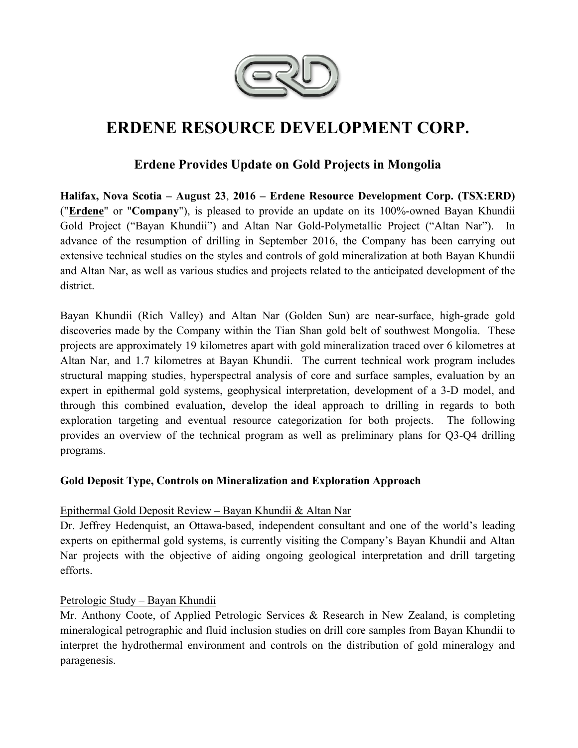

# **ERDENE RESOURCE DEVELOPMENT CORP.**

# **Erdene Provides Update on Gold Projects in Mongolia**

**Halifax, Nova Scotia – August 23**, **2016 – Erdene Resource Development Corp. (TSX:ERD)**  ("**Erdene**" or "**Company**"), is pleased to provide an update on its 100%-owned Bayan Khundii Gold Project ("Bayan Khundii") and Altan Nar Gold-Polymetallic Project ("Altan Nar"). In advance of the resumption of drilling in September 2016, the Company has been carrying out extensive technical studies on the styles and controls of gold mineralization at both Bayan Khundii and Altan Nar, as well as various studies and projects related to the anticipated development of the district.

Bayan Khundii (Rich Valley) and Altan Nar (Golden Sun) are near-surface, high-grade gold discoveries made by the Company within the Tian Shan gold belt of southwest Mongolia. These projects are approximately 19 kilometres apart with gold mineralization traced over 6 kilometres at Altan Nar, and 1.7 kilometres at Bayan Khundii. The current technical work program includes structural mapping studies, hyperspectral analysis of core and surface samples, evaluation by an expert in epithermal gold systems, geophysical interpretation, development of a 3-D model, and through this combined evaluation, develop the ideal approach to drilling in regards to both exploration targeting and eventual resource categorization for both projects. The following provides an overview of the technical program as well as preliminary plans for Q3-Q4 drilling programs.

## **Gold Deposit Type, Controls on Mineralization and Exploration Approach**

## Epithermal Gold Deposit Review – Bayan Khundii & Altan Nar

Dr. Jeffrey Hedenquist, an Ottawa-based, independent consultant and one of the world's leading experts on epithermal gold systems, is currently visiting the Company's Bayan Khundii and Altan Nar projects with the objective of aiding ongoing geological interpretation and drill targeting efforts.

## Petrologic Study – Bayan Khundii

Mr. Anthony Coote, of Applied Petrologic Services & Research in New Zealand, is completing mineralogical petrographic and fluid inclusion studies on drill core samples from Bayan Khundii to interpret the hydrothermal environment and controls on the distribution of gold mineralogy and paragenesis.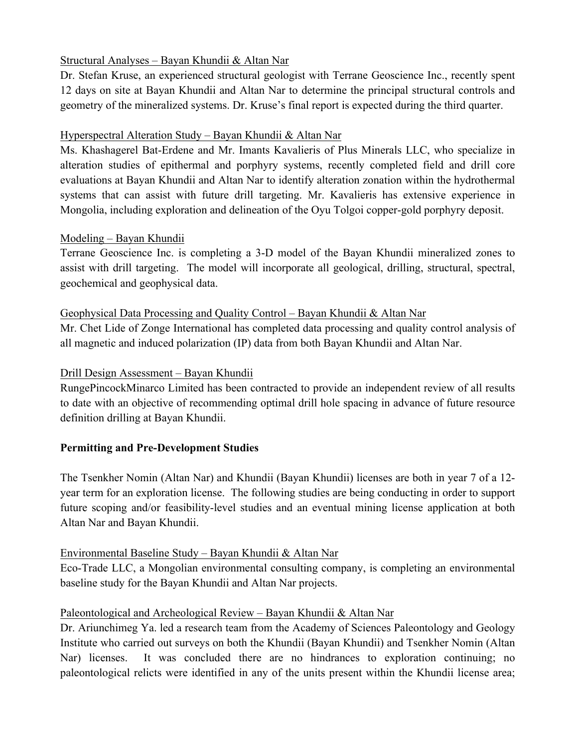## Structural Analyses – Bayan Khundii & Altan Nar

Dr. Stefan Kruse, an experienced structural geologist with Terrane Geoscience Inc., recently spent 12 days on site at Bayan Khundii and Altan Nar to determine the principal structural controls and geometry of the mineralized systems. Dr. Kruse's final report is expected during the third quarter.

## Hyperspectral Alteration Study – Bayan Khundii & Altan Nar

Ms. Khashagerel Bat-Erdene and Mr. Imants Kavalieris of Plus Minerals LLC, who specialize in alteration studies of epithermal and porphyry systems, recently completed field and drill core evaluations at Bayan Khundii and Altan Nar to identify alteration zonation within the hydrothermal systems that can assist with future drill targeting. Mr. Kavalieris has extensive experience in Mongolia, including exploration and delineation of the Oyu Tolgoi copper-gold porphyry deposit.

## Modeling – Bayan Khundii

Terrane Geoscience Inc. is completing a 3-D model of the Bayan Khundii mineralized zones to assist with drill targeting. The model will incorporate all geological, drilling, structural, spectral, geochemical and geophysical data.

## Geophysical Data Processing and Quality Control – Bayan Khundii & Altan Nar

Mr. Chet Lide of Zonge International has completed data processing and quality control analysis of all magnetic and induced polarization (IP) data from both Bayan Khundii and Altan Nar.

## Drill Design Assessment – Bayan Khundii

RungePincockMinarco Limited has been contracted to provide an independent review of all results to date with an objective of recommending optimal drill hole spacing in advance of future resource definition drilling at Bayan Khundii.

## **Permitting and Pre-Development Studies**

The Tsenkher Nomin (Altan Nar) and Khundii (Bayan Khundii) licenses are both in year 7 of a 12 year term for an exploration license. The following studies are being conducting in order to support future scoping and/or feasibility-level studies and an eventual mining license application at both Altan Nar and Bayan Khundii.

## Environmental Baseline Study – Bayan Khundii & Altan Nar

Eco-Trade LLC, a Mongolian environmental consulting company, is completing an environmental baseline study for the Bayan Khundii and Altan Nar projects.

## Paleontological and Archeological Review – Bayan Khundii & Altan Nar

Dr. Ariunchimeg Ya. led a research team from the Academy of Sciences Paleontology and Geology Institute who carried out surveys on both the Khundii (Bayan Khundii) and Tsenkher Nomin (Altan Nar) licenses. It was concluded there are no hindrances to exploration continuing; no paleontological relicts were identified in any of the units present within the Khundii license area;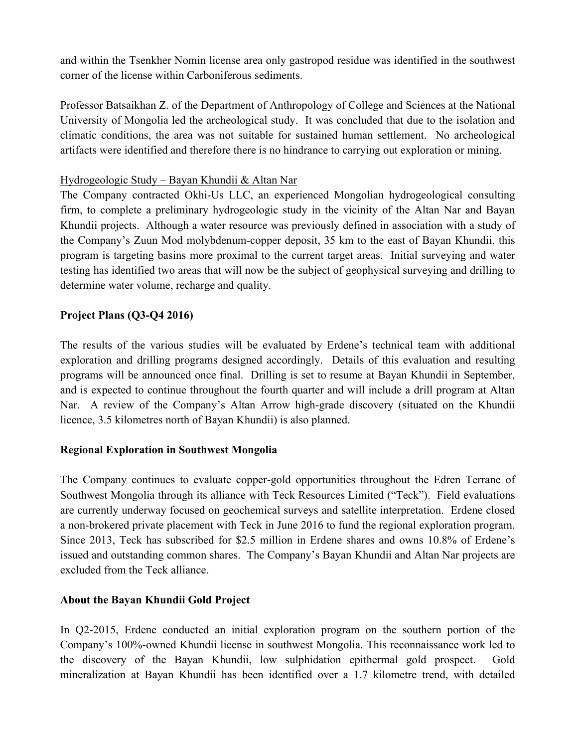and within the Tsenkher Nomin license area only gastropod residue was identified in the southwest corner of the license within Carboniferous sediments.

Professor Batsaikhan Z. of the Department of Anthropology of College and Sciences at the National University of Mongolia led the archeological study. It was concluded that due to the isolation and climatic conditions, the area was not suitable for sustained human settlement. No archeological artifacts were identified and therefore there is no hindrance to carrying out exploration or mining.

#### Hydrogeologic Study – Bayan Khundii & Altan Nar

The Company contracted Okhi-Us LLC, an experienced Mongolian hydrogeological consulting firm, to complete a preliminary hydrogeologic study in the vicinity of the Altan Nar and Bayan Khundii projects. Although a water resource was previously defined in association with a study of the Company's Zuun Mod molybdenum-copper deposit, 35 km to the east of Bayan Khundii, this program is targeting basins more proximal to the current target areas. Initial surveying and water testing has identified two areas that will now be the subject of geophysical surveying and drilling to determine water volume, recharge and quality.

## **Project Plans (Q3-Q4 2016)**

The results of the various studies will be evaluated by Erdene's technical team with additional exploration and drilling programs designed accordingly. Details of this evaluation and resulting programs will be announced once final. Drilling is set to resume at Bayan Khundii in September, and is expected to continue throughout the fourth quarter and will include a drill program at Altan Nar. A review of the Company's Altan Arrow high-grade discovery (situated on the Khundii licence, 3.5 kilometres north of Bayan Khundii) is also planned.

## **Regional Exploration in Southwest Mongolia**

The Company continues to evaluate copper-gold opportunities throughout the Edren Terrane of Southwest Mongolia through its alliance with Teck Resources Limited ("Teck"). Field evaluations are currently underway focused on geochemical surveys and satellite interpretation. Erdene closed a non-brokered private placement with Teck in June 2016 to fund the regional exploration program. Since 2013, Teck has subscribed for \$2.5 million in Erdene shares and owns 10.8% of Erdene's issued and outstanding common shares. The Company's Bayan Khundii and Altan Nar projects are excluded from the Teck alliance.

## **About the Bayan Khundii Gold Project**

In Q2-2015, Erdene conducted an initial exploration program on the southern portion of the Company's 100%-owned Khundii license in southwest Mongolia. This reconnaissance work led to the discovery of the Bayan Khundii, low sulphidation epithermal gold prospect. Gold mineralization at Bayan Khundii has been identified over a 1.7 kilometre trend, with detailed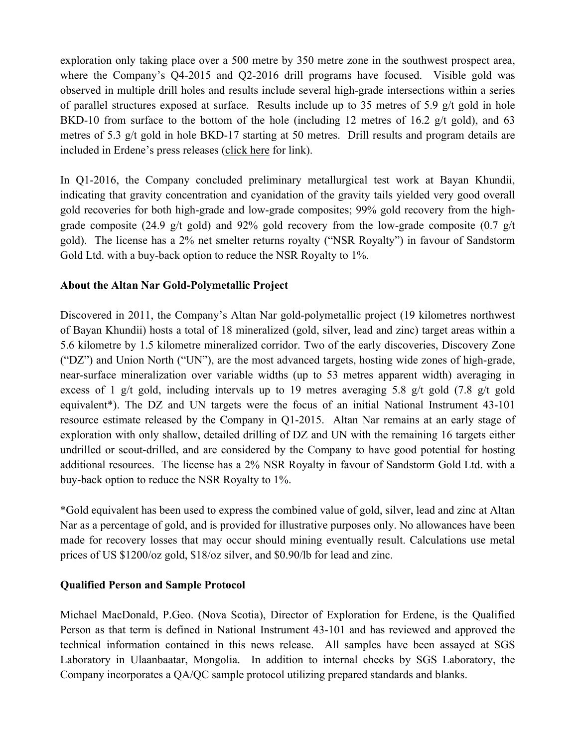exploration only taking place over a 500 metre by 350 metre zone in the southwest prospect area, where the Company's Q4-2015 and Q2-2016 drill programs have focused. Visible gold was observed in multiple drill holes and results include several high-grade intersections within a series of parallel structures exposed at surface. Results include up to 35 metres of 5.9 g/t gold in hole BKD-10 from surface to the bottom of the hole (including 12 metres of 16.2 g/t gold), and 63 metres of 5.3 g/t gold in hole BKD-17 starting at 50 metres. Drill results and program details are included in Erdene's press releases (click here for link).

In Q1-2016, the Company concluded preliminary metallurgical test work at Bayan Khundii, indicating that gravity concentration and cyanidation of the gravity tails yielded very good overall gold recoveries for both high-grade and low-grade composites; 99% gold recovery from the highgrade composite (24.9 g/t gold) and 92% gold recovery from the low-grade composite (0.7 g/t gold). The license has a 2% net smelter returns royalty ("NSR Royalty") in favour of Sandstorm Gold Ltd. with a buy-back option to reduce the NSR Royalty to 1%.

#### **About the Altan Nar Gold-Polymetallic Project**

Discovered in 2011, the Company's Altan Nar gold-polymetallic project (19 kilometres northwest of Bayan Khundii) hosts a total of 18 mineralized (gold, silver, lead and zinc) target areas within a 5.6 kilometre by 1.5 kilometre mineralized corridor. Two of the early discoveries, Discovery Zone ("DZ") and Union North ("UN"), are the most advanced targets, hosting wide zones of high-grade, near-surface mineralization over variable widths (up to 53 metres apparent width) averaging in excess of 1 g/t gold, including intervals up to 19 metres averaging 5.8 g/t gold (7.8 g/t gold equivalent\*). The DZ and UN targets were the focus of an initial National Instrument 43-101 resource estimate released by the Company in Q1-2015. Altan Nar remains at an early stage of exploration with only shallow, detailed drilling of DZ and UN with the remaining 16 targets either undrilled or scout-drilled, and are considered by the Company to have good potential for hosting additional resources. The license has a 2% NSR Royalty in favour of Sandstorm Gold Ltd. with a buy-back option to reduce the NSR Royalty to 1%.

\*Gold equivalent has been used to express the combined value of gold, silver, lead and zinc at Altan Nar as a percentage of gold, and is provided for illustrative purposes only. No allowances have been made for recovery losses that may occur should mining eventually result. Calculations use metal prices of US \$1200/oz gold, \$18/oz silver, and \$0.90/lb for lead and zinc.

#### **Qualified Person and Sample Protocol**

Michael MacDonald, P.Geo. (Nova Scotia), Director of Exploration for Erdene, is the Qualified Person as that term is defined in National Instrument 43-101 and has reviewed and approved the technical information contained in this news release. All samples have been assayed at SGS Laboratory in Ulaanbaatar, Mongolia. In addition to internal checks by SGS Laboratory, the Company incorporates a QA/QC sample protocol utilizing prepared standards and blanks.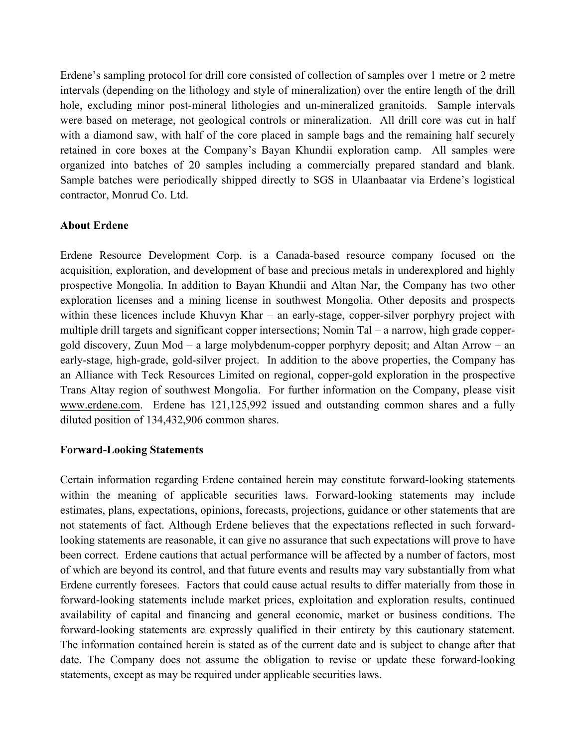Erdene's sampling protocol for drill core consisted of collection of samples over 1 metre or 2 metre intervals (depending on the lithology and style of mineralization) over the entire length of the drill hole, excluding minor post-mineral lithologies and un-mineralized granitoids. Sample intervals were based on meterage, not geological controls or mineralization. All drill core was cut in half with a diamond saw, with half of the core placed in sample bags and the remaining half securely retained in core boxes at the Company's Bayan Khundii exploration camp. All samples were organized into batches of 20 samples including a commercially prepared standard and blank. Sample batches were periodically shipped directly to SGS in Ulaanbaatar via Erdene's logistical contractor, Monrud Co. Ltd.

## **About Erdene**

Erdene Resource Development Corp. is a Canada-based resource company focused on the acquisition, exploration, and development of base and precious metals in underexplored and highly prospective Mongolia. In addition to Bayan Khundii and Altan Nar, the Company has two other exploration licenses and a mining license in southwest Mongolia. Other deposits and prospects within these licences include Khuvyn Khar – an early-stage, copper-silver porphyry project with multiple drill targets and significant copper intersections; Nomin Tal – a narrow, high grade coppergold discovery, Zuun Mod – a large molybdenum-copper porphyry deposit; and Altan Arrow – an early-stage, high-grade, gold-silver project. In addition to the above properties, the Company has an Alliance with Teck Resources Limited on regional, copper-gold exploration in the prospective Trans Altay region of southwest Mongolia. For further information on the Company, please visit www.erdene.com. Erdene has 121,125,992 issued and outstanding common shares and a fully diluted position of 134,432,906 common shares.

#### **Forward-Looking Statements**

Certain information regarding Erdene contained herein may constitute forward-looking statements within the meaning of applicable securities laws. Forward-looking statements may include estimates, plans, expectations, opinions, forecasts, projections, guidance or other statements that are not statements of fact. Although Erdene believes that the expectations reflected in such forwardlooking statements are reasonable, it can give no assurance that such expectations will prove to have been correct. Erdene cautions that actual performance will be affected by a number of factors, most of which are beyond its control, and that future events and results may vary substantially from what Erdene currently foresees. Factors that could cause actual results to differ materially from those in forward-looking statements include market prices, exploitation and exploration results, continued availability of capital and financing and general economic, market or business conditions. The forward-looking statements are expressly qualified in their entirety by this cautionary statement. The information contained herein is stated as of the current date and is subject to change after that date. The Company does not assume the obligation to revise or update these forward-looking statements, except as may be required under applicable securities laws.